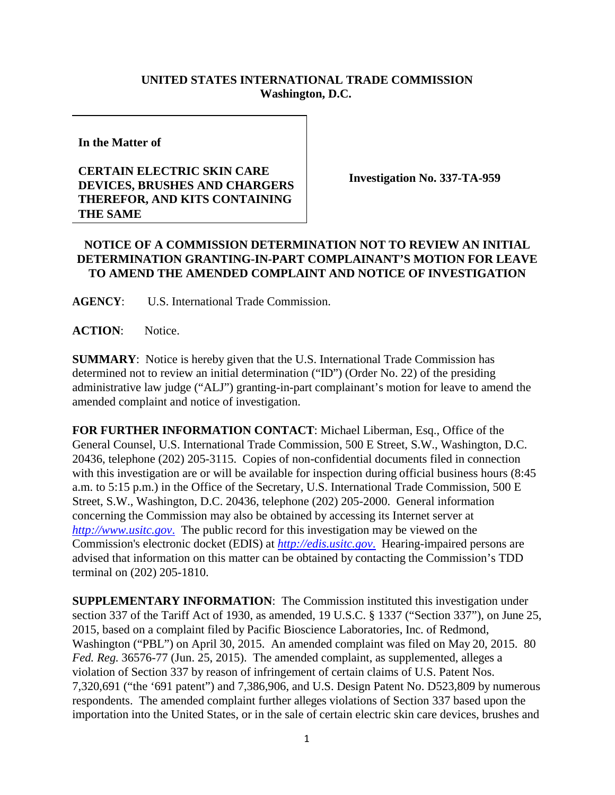## **UNITED STATES INTERNATIONAL TRADE COMMISSION Washington, D.C.**

**In the Matter of**

## **CERTAIN ELECTRIC SKIN CARE DEVICES, BRUSHES AND CHARGERS THEREFOR, AND KITS CONTAINING THE SAME**

**Investigation No. 337-TA-959**

## **NOTICE OF A COMMISSION DETERMINATION NOT TO REVIEW AN INITIAL DETERMINATION GRANTING-IN-PART COMPLAINANT'S MOTION FOR LEAVE TO AMEND THE AMENDED COMPLAINT AND NOTICE OF INVESTIGATION**

**AGENCY**: U.S. International Trade Commission.

**ACTION**: Notice.

**SUMMARY**: Notice is hereby given that the U.S. International Trade Commission has determined not to review an initial determination ("ID") (Order No. 22) of the presiding administrative law judge ("ALJ") granting-in-part complainant's motion for leave to amend the amended complaint and notice of investigation.

**FOR FURTHER INFORMATION CONTACT**: Michael Liberman, Esq., Office of the General Counsel, U.S. International Trade Commission, 500 E Street, S.W., Washington, D.C. 20436, telephone (202) 205-3115. Copies of non-confidential documents filed in connection with this investigation are or will be available for inspection during official business hours (8:45 a.m. to 5:15 p.m.) in the Office of the Secretary, U.S. International Trade Commission, 500 E Street, S.W., Washington, D.C. 20436, telephone (202) 205-2000. General information concerning the Commission may also be obtained by accessing its Internet server at *http://www.usitc.gov*. The public record for this investigation may be viewed on the Commission's electronic docket (EDIS) at *http://edis.usitc.gov*. Hearing-impaired persons are advised that information on this matter can be obtained by contacting the Commission's TDD terminal on (202) 205-1810.

**SUPPLEMENTARY INFORMATION**: The Commission instituted this investigation under section 337 of the Tariff Act of 1930, as amended, 19 U.S.C. § 1337 ("Section 337"), on June 25, 2015, based on a complaint filed by Pacific Bioscience Laboratories, Inc. of Redmond, Washington ("PBL") on April 30, 2015. An amended complaint was filed on May 20, 2015. 80 *Fed. Reg.* 36576-77 (Jun. 25, 2015). The amended complaint, as supplemented, alleges a violation of Section 337 by reason of infringement of certain claims of U.S. Patent Nos. 7,320,691 ("the '691 patent") and 7,386,906, and U.S. Design Patent No. D523,809 by numerous respondents. The amended complaint further alleges violations of Section 337 based upon the importation into the United States, or in the sale of certain electric skin care devices, brushes and